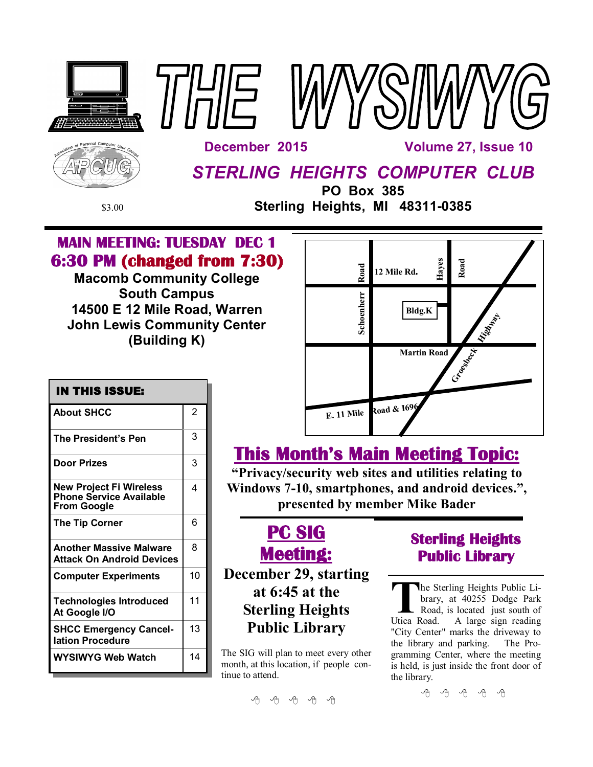

# **MAIN MEETING: TUESDAY DEC 1 6:30 PM (changed from 7:30)**

**Macomb Community College South Campus 14500 E 12 Mile Road, Warren John Lewis Community Center (Building K)**



| <b>IN THIS ISSUE:</b>                                                                  |                |  |
|----------------------------------------------------------------------------------------|----------------|--|
| <b>About SHCC</b>                                                                      | $\overline{2}$ |  |
| <b>The President's Pen</b>                                                             | 3              |  |
| <b>Door Prizes</b>                                                                     | 3              |  |
| <b>New Project Fi Wireless</b><br><b>Phone Service Available</b><br><b>From Google</b> | 4              |  |
| <b>The Tip Corner</b>                                                                  | 6              |  |
| <b>Another Massive Malware</b><br><b>Attack On Android Devices</b>                     | 8              |  |
| <b>Computer Experiments</b>                                                            | 10             |  |
| <b>Technologies Introduced</b><br>At Google I/O                                        | 11             |  |
| <b>SHCC Emergency Cancel-</b><br>lation Procedure                                      | 13             |  |
| <b>WYSIWYG Web Watch</b>                                                               | 14             |  |

# **This Month's Main Meeting Topic:**

**"Privacy/security web sites and utilities relating to Windows 7-10, smartphones, and android devices.", presented by member Mike Bader**



# **December 29, starting at 6:45 at the Sterling Heights Public Library**

The SIG will plan to meet every other month, at this location, if people continue to attend.

**Sterling Heights Public Library** 

The Sterling Heights Public Library, at 40255 Dodge Park<br>
Road, is located just south of<br>
Utica Road. A large sign reading he Sterling Heights Public Library, at 40255 Dodge Park Road, is located just south of "City Center" marks the driveway to the library and parking. The Programming Center, where the meeting is held, is just inside the front door of the library.

有 有 有 有 有

西 田 田 田 田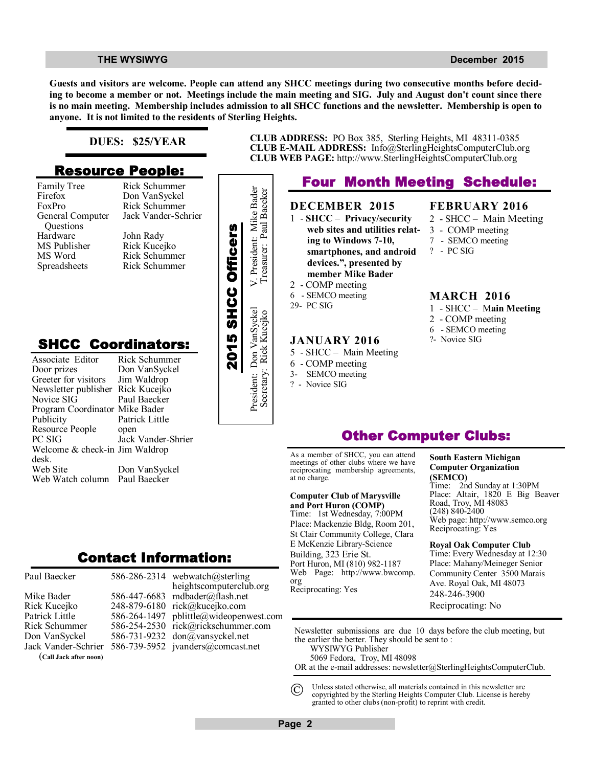### **THE WYSIWYG** DECEMBER 2015

**Guests and visitors are welcome. People can attend any SHCC meetings during two consecutive months before deciding to become a member or not. Meetings include the main meeting and SIG. July and August don't count since there is no main meeting. Membership includes admission to all SHCC functions and the newsletter. Membership is open to anyone. It is not limited to the residents of Sterling Heights.**

## **DUES: \$25/YEAR**

## **Resource People:**

Family Tree Firefox FoxPro General Computer Questions Hardware MS Publisher MS Word Spreadsheets

Rick Schummer

# **SHCC Coordinators:**

| гашну тес<br>Firefox<br>FoxPro<br>General Computer<br>Questions<br>Hardware<br>MS Publisher<br>MS Word<br>Spreadsheets                                       | <b>INIUN OUTBELLING</b><br>Don VanSyckel<br>Rick Schummer<br>Jack Vander-Schrier<br>John Rady<br>Rick Kucejko<br>Rick Schummer<br>Rick Schummer |                    | President: Mike Bader    |
|--------------------------------------------------------------------------------------------------------------------------------------------------------------|-------------------------------------------------------------------------------------------------------------------------------------------------|--------------------|--------------------------|
| <b>SHCC Coordinators:</b><br>Associate Editor<br>Door prizes<br>Greeter for visitors<br>Newsletter publisher<br>Novice SIG<br>Program Coordinator Mike Bader | Rick Schummer<br>Don VanSyckel<br>Jim Waldrop<br>Rick Kucejko<br>Paul Baecker                                                                   | 2015 SHCC Officers | President: Don VanSyckel |
| Publicity<br>Resource People<br>PC SIG<br>Welcome & check-in Jim Waldrop<br>desk.<br>Web Site<br>Web Watch column                                            | Patrick Little<br>open<br>Jack Vander-Shrier<br>Don VanSyckel<br>Paul Baecker                                                                   |                    |                          |
|                                                                                                                                                              | Contact Information:                                                                                                                            |                    |                          |

Mike Bader Rick Kucejko

Paul Baecker

Patrick Little Rick Schummer Don VanSyckel Jack Vander-Schrier

(**Call Jack after noon)**



**CLUB ADDRESS:** PO Box 385, Sterling Heights, MI 48311-0385 **CLUB E-MAIL ADDRESS:** Info@SterlingHeightsComputerClub.org **CLUB WEB PAGE:** http://www.SterlingHeightsComputerClub.org

## **Four Month Meeting Schedule:**

## **DECEMBER 2015**

2 - COMP meeting 6 - SEMCO meeting

**JANUARY 2016** 5 - SHCC – Main Meeting 6 - COMP meeting 3- SEMCO meeting ? - Novice SIG

29- PC SIG

Secretary: Rick Kucejko Treasurer: Paul Baecker

1 - **SHCC** – **Privacy/security web sites and utilities relating to Windows 7-10, smartphones, and android devices.", presented by member Mike Bader**

## 2 - SHCC – Main Meeting

**FEBRUARY 2016**

- 3 COMP meeting
- 7 SEMCO meeting
- ? PC SIG

## **MARCH 2016**

- 1 SHCC M**ain Meeting**
- 2 COMP meeting
- 6 SEMCO meeting
- ?- Novice SIG

## **Other Computer Clubs:**

As a member of SHCC, you can attend meetings of other clubs where we have reciprocating membership agreements, at no charge.

## **Computer Club of Marysville**

**and Port Huron (COMP)** Time: 1st Wednesday, 7:00PM Place: Mackenzie Bldg, Room 201, St Clair Community College, Clara E McKenzie Library-Science Building, 323 Erie St. Port Huron, MI (810) 982-1187 Web Page: http://www.bwcomp. org Reciprocating: Yes

## **South Eastern Michigan Computer Organization (SEMCO)**

2nd Sunday at 1:30PM Place: Altair, 1820 E Big Beaver Road, Troy, MI 48083 (248) 840-2400 Web page: http://www.semco.org Reciprocating: Yes

**Royal Oak Computer Club** Time: Every Wednesday at 12:30 Place: Mahany/Meineger Senior Community Center 3500 Marais Ave. Royal Oak, MI 48073 248-246-3900 Reciprocating: No

Newsletter submissions are due 10 days before the club meeting, but the earlier the better. They should be sent to : WYSIWYG Publisher

5069 Fedora, Troy, MI 48098

OR at the e-mail addresses: newsletter@SterlingHeightsComputerClub.

Unless stated otherwise, all materials contained in this newsletter are copyrighted by the Sterling Heights Computer Club. License is hereby granted to other clubs (non-profit) to reprint with credit.  $\odot$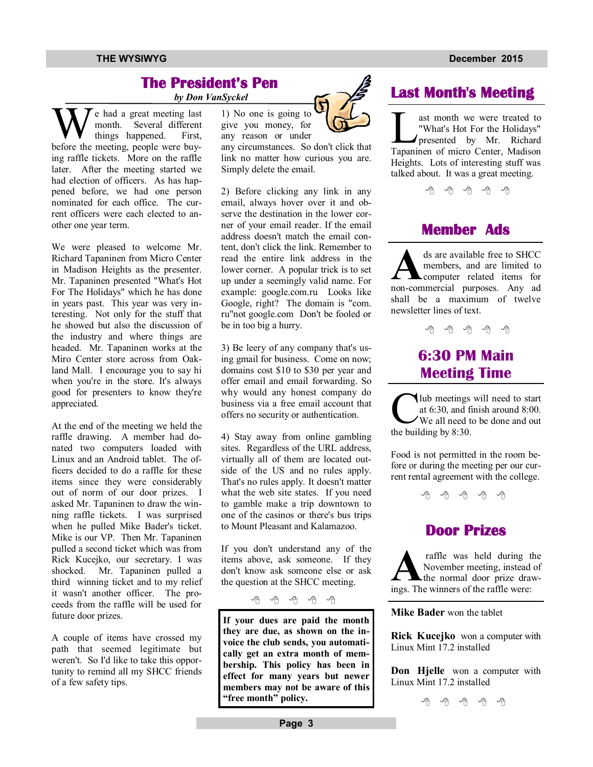## **THE WYSIWYG December 2015**

## **The President's Pen**

 *by Don VanSyckel*

We had a great meeting last<br>month. Several different<br>before the meeting, people were buye had a great meeting last month. Several different things happened. First, ing raffle tickets. More on the raffle later. After the meeting started we had election of officers. As has happened before, we had one person nominated for each office. The current officers were each elected to another one year term.

We were pleased to welcome Mr. Richard Tapaninen from Micro Center in Madison Heights as the presenter. Mr. Tapaninen presented "What's Hot For The Holidays" which he has done in years past. This year was very interesting. Not only for the stuff that he showed but also the discussion of the industry and where things are headed. Mr. Tapaninen works at the Miro Center store across from Oakland Mall. I encourage you to say hi when you're in the store. It's always good for presenters to know they're appreciated.

At the end of the meeting we held the raffle drawing. A member had donated two computers loaded with Linux and an Android tablet. The officers decided to do a raffle for these items since they were considerably out of norm of our door prizes. I asked Mr. Tapaninen to draw the winning raffle tickets. I was surprised when he pulled Mike Bader's ticket. Mike is our VP. Then Mr. Tapaninen pulled a second ticket which was from Rick Kucejko, our secretary. I was shocked. Mr. Tapaninen pulled a third winning ticket and to my relief it wasn't another officer. The proceeds from the raffle will be used for future door prizes.

A couple of items have crossed my path that seemed legitimate but weren't. So I'd like to take this opportunity to remind all my SHCC friends of a few safety tips.

1) No one is going to give you money, for any reason or under

any circumstances. So don't click that link no matter how curious you are. Simply delete the email.

2) Before clicking any link in any email, always hover over it and observe the destination in the lower corner of your email reader. If the email address doesn't match the email content, don't click the link. Remember to read the entire link address in the lower corner. A popular trick is to set up under a seemingly valid name. For example: google.com.ru Looks like Google, right? The domain is "com. ru"not google.com Don't be fooled or be in too big a hurry.

3) Be leery of any company that's using gmail for business. Come on now; domains cost \$10 to \$30 per year and offer email and email forwarding. So why would any honest company do business via a free email account that offers no security or authentication.

4) Stay away from online gambling sites. Regardless of the URL address, virtually all of them are located outside of the US and no rules apply. That's no rules apply. It doesn't matter what the web site states. If you need to gamble make a trip downtown to one of the casinos or there's bus trips to Mount Pleasant and Kalamazoo.

If you don't understand any of the items above, ask someone. If they don't know ask someone else or ask the question at the SHCC meeting.

中 丹 伯 伯 伯

**If your dues are paid the month they are due, as shown on the invoice the club sends, you automatically get an extra month of membership. This policy has been in effect for many years but newer members may not be aware of this "free month" policy.** The same of the set of the set of the set of  $\mathcal{A}$  of  $\mathcal{A}$  of  $\mathcal{A}$ 

# **Last Month's Meeting**

ast month we were treated to<br>
"What's Hot For the Holidays"<br>
presented by Mr. Richard<br>
Tapaninen of micro Center, Madison ast month we were treated to "What's Hot For the Holidays" presented by Mr. Richard Heights. Lots of interesting stuff was talked about. It was a great meeting.

一个 一个

## **Member Ads**

**A** ds are available free to SHCC members, and are limited to computer related items for non-commercial purposes. Any ad ds are available free to SHCC members, and are limited to computer related items for shall be a maximum of twelve newsletter lines of text.

个 个 个 个 个

# **6:30 PM Main Meeting Time**

The meetings<br>
at 6:30, and f<br>
We all need the building by 8:30. lub meetings will need to start at 6:30, and finish around 8:00. We all need to be done and out

Food is not permitted in the room before or during the meeting per our current rental agreement with the college.

一个 一个

## **Door Prizes**

**A** ings. The winners of the raffle were: raffle was held during the November meeting, instead of the normal door prize draw-

**Mike Bader** won the tablet

**Rick Kucejko** won a computer with Linux Mint 17.2 installed

**Don Hjelle** won a computer with Linux Mint 17.2 installed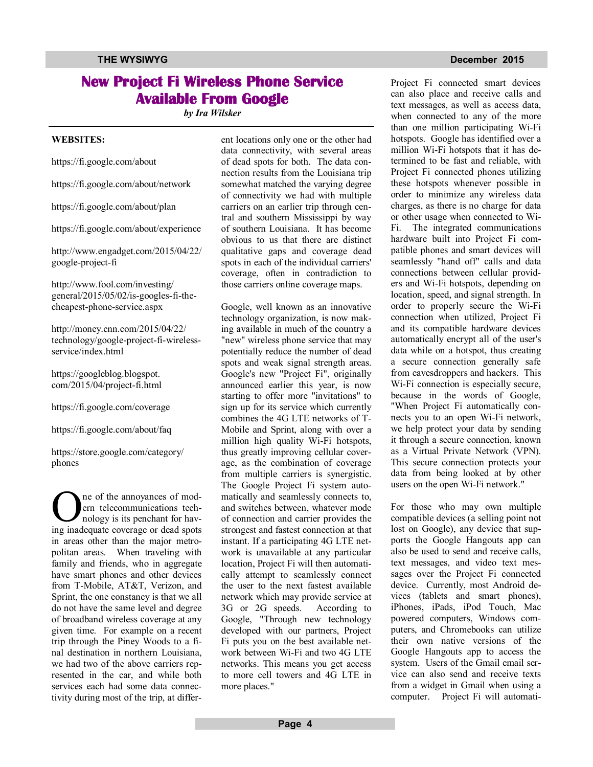# **New Project Fi Wireless Phone Service Available From Google**

*by Ira Wilsker*

### **WEBSITES:**

https://fi.google.com/about

https://fi.google.com/about/network

https://fi.google.com/about/plan

https://fi.google.com/about/experience

http://www.engadget.com/2015/04/22/ google-project-fi

http://www.fool.com/investing/ general/2015/05/02/is-googles-fi-thecheapest-phone-service.aspx

http://money.cnn.com/2015/04/22/ technology/google-project-fi-wirelessservice/index.html

https://googleblog.blogspot. com/2015/04/project-fi.html

https://fi.google.com/coverage

https://fi.google.com/about/faq

https://store.google.com/category/ phones

**O** ne of the annoyances of mod-<br>
ern telecommunications tech-<br>
nology is its penchant for hav-<br>
ing inadequate coverage or dead spots ne of the annoyances of modern telecommunications technology is its penchant for havin areas other than the major metropolitan areas. When traveling with family and friends, who in aggregate have smart phones and other devices from T-Mobile, AT&T, Verizon, and Sprint, the one constancy is that we all do not have the same level and degree of broadband wireless coverage at any given time. For example on a recent trip through the Piney Woods to a final destination in northern Louisiana, we had two of the above carriers represented in the car, and while both services each had some data connectivity during most of the trip, at different locations only one or the other had data connectivity, with several areas of dead spots for both. The data connection results from the Louisiana trip somewhat matched the varying degree of connectivity we had with multiple carriers on an earlier trip through central and southern Mississippi by way of southern Louisiana. It has become obvious to us that there are distinct qualitative gaps and coverage dead spots in each of the individual carriers' coverage, often in contradiction to those carriers online coverage maps.

Google, well known as an innovative technology organization, is now making available in much of the country a "new" wireless phone service that may potentially reduce the number of dead spots and weak signal strength areas. Google's new "Project Fi", originally announced earlier this year, is now starting to offer more "invitations" to sign up for its service which currently combines the 4G LTE networks of T-Mobile and Sprint, along with over a million high quality Wi-Fi hotspots, thus greatly improving cellular coverage, as the combination of coverage from multiple carriers is synergistic. The Google Project Fi system automatically and seamlessly connects to, and switches between, whatever mode of connection and carrier provides the strongest and fastest connection at that instant. If a participating 4G LTE network is unavailable at any particular location, Project Fi will then automatically attempt to seamlessly connect the user to the next fastest available network which may provide service at 3G or 2G speeds. According to Google, "Through new technology developed with our partners, Project Fi puts you on the best available network between Wi-Fi and two 4G LTE networks. This means you get access to more cell towers and 4G LTE in more places."

Project Fi connected smart devices can also place and receive calls and text messages, as well as access data, when connected to any of the more than one million participating Wi-Fi hotspots. Google has identified over a million Wi-Fi hotspots that it has determined to be fast and reliable, with Project Fi connected phones utilizing these hotspots whenever possible in order to minimize any wireless data charges, as there is no charge for data or other usage when connected to Wi-Fi. The integrated communications hardware built into Project Fi compatible phones and smart devices will seamlessly "hand off" calls and data connections between cellular providers and Wi-Fi hotspots, depending on location, speed, and signal strength. In order to properly secure the Wi-Fi connection when utilized, Project Fi and its compatible hardware devices automatically encrypt all of the user's data while on a hotspot, thus creating a secure connection generally safe from eavesdroppers and hackers. This Wi-Fi connection is especially secure, because in the words of Google, "When Project Fi automatically connects you to an open Wi-Fi network, we help protect your data by sending it through a secure connection, known as a Virtual Private Network (VPN). This secure connection protects your data from being looked at by other users on the open Wi-Fi network."

For those who may own multiple compatible devices (a selling point not lost on Google), any device that supports the Google Hangouts app can also be used to send and receive calls, text messages, and video text messages over the Project Fi connected device. Currently, most Android devices (tablets and smart phones), iPhones, iPads, iPod Touch, Mac powered computers, Windows computers, and Chromebooks can utilize their own native versions of the Google Hangouts app to access the system. Users of the Gmail email service can also send and receive texts from a widget in Gmail when using a computer. Project Fi will automati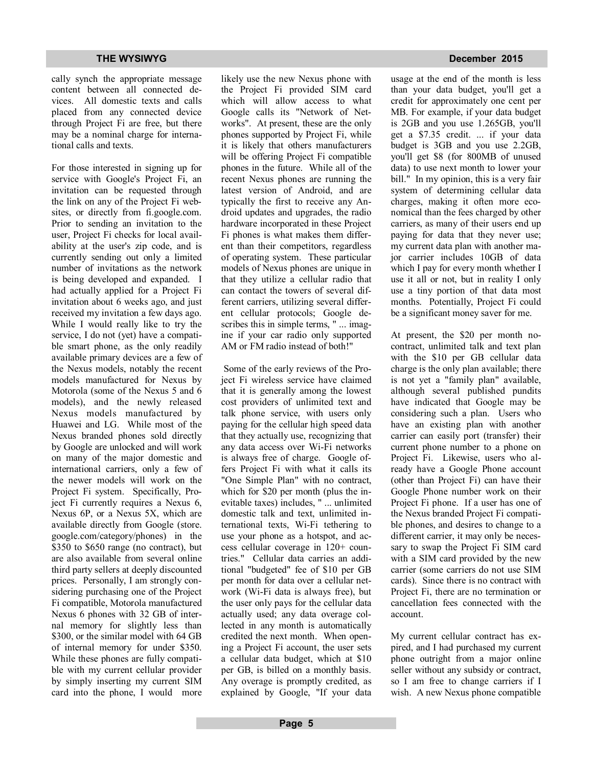cally synch the appropriate message content between all connected devices. All domestic texts and calls placed from any connected device through Project Fi are free, but there may be a nominal charge for international calls and texts.

For those interested in signing up for service with Google's Project Fi, an invitation can be requested through the link on any of the Project Fi websites, or directly from fi.google.com. Prior to sending an invitation to the user, Project Fi checks for local availability at the user's zip code, and is currently sending out only a limited number of invitations as the network is being developed and expanded. I had actually applied for a Project Fi invitation about 6 weeks ago, and just received my invitation a few days ago. While I would really like to try the service, I do not (yet) have a compatible smart phone, as the only readily available primary devices are a few of the Nexus models, notably the recent models manufactured for Nexus by Motorola (some of the Nexus 5 and 6 models), and the newly released Nexus models manufactured by Huawei and LG. While most of the Nexus branded phones sold directly by Google are unlocked and will work on many of the major domestic and international carriers, only a few of the newer models will work on the Project Fi system. Specifically, Project Fi currently requires a Nexus 6, Nexus 6P, or a Nexus 5X, which are available directly from Google (store. google.com/category/phones) in the \$350 to \$650 range (no contract), but are also available from several online third party sellers at deeply discounted prices. Personally, I am strongly considering purchasing one of the Project Fi compatible, Motorola manufactured Nexus 6 phones with 32 GB of internal memory for slightly less than \$300, or the similar model with 64 GB of internal memory for under \$350. While these phones are fully compatible with my current cellular provider by simply inserting my current SIM card into the phone, I would more likely use the new Nexus phone with the Project Fi provided SIM card which will allow access to what Google calls its "Network of Networks". At present, these are the only phones supported by Project Fi, while it is likely that others manufacturers will be offering Project Fi compatible phones in the future. While all of the recent Nexus phones are running the latest version of Android, and are typically the first to receive any Android updates and upgrades, the radio hardware incorporated in these Project Fi phones is what makes them different than their competitors, regardless of operating system. These particular models of Nexus phones are unique in that they utilize a cellular radio that can contact the towers of several different carriers, utilizing several different cellular protocols; Google describes this in simple terms, " ... imagine if your car radio only supported AM or FM radio instead of both!"

 Some of the early reviews of the Project Fi wireless service have claimed that it is generally among the lowest cost providers of unlimited text and talk phone service, with users only paying for the cellular high speed data that they actually use, recognizing that any data access over Wi-Fi networks is always free of charge. Google offers Project Fi with what it calls its "One Simple Plan" with no contract, which for \$20 per month (plus the inevitable taxes) includes, " ... unlimited domestic talk and text, unlimited international texts, Wi-Fi tethering to use your phone as a hotspot, and access cellular coverage in 120+ countries." Cellular data carries an additional "budgeted" fee of \$10 per GB per month for data over a cellular network (Wi-Fi data is always free), but the user only pays for the cellular data actually used; any data overage collected in any month is automatically credited the next month. When opening a Project Fi account, the user sets a cellular data budget, which at \$10 per GB, is billed on a monthly basis. Any overage is promptly credited, as explained by Google, "If your data

usage at the end of the month is less than your data budget, you'll get a credit for approximately one cent per MB. For example, if your data budget is 2GB and you use 1.265GB, you'll get a \$7.35 credit. ... if your data budget is 3GB and you use 2.2GB, you'll get \$8 (for 800MB of unused data) to use next month to lower your bill." In my opinion, this is a very fair system of determining cellular data charges, making it often more economical than the fees charged by other carriers, as many of their users end up paying for data that they never use; my current data plan with another major carrier includes 10GB of data which I pay for every month whether I use it all or not, but in reality I only use a tiny portion of that data most months. Potentially, Project Fi could be a significant money saver for me.

At present, the \$20 per month nocontract, unlimited talk and text plan with the \$10 per GB cellular data charge is the only plan available; there is not yet a "family plan" available, although several published pundits have indicated that Google may be considering such a plan. Users who have an existing plan with another carrier can easily port (transfer) their current phone number to a phone on Project Fi. Likewise, users who already have a Google Phone account (other than Project Fi) can have their Google Phone number work on their Project Fi phone. If a user has one of the Nexus branded Project Fi compatible phones, and desires to change to a different carrier, it may only be necessary to swap the Project Fi SIM card with a SIM card provided by the new carrier (some carriers do not use SIM cards). Since there is no contract with Project Fi, there are no termination or cancellation fees connected with the account.

My current cellular contract has expired, and I had purchased my current phone outright from a major online seller without any subsidy or contract, so I am free to change carriers if I wish. A new Nexus phone compatible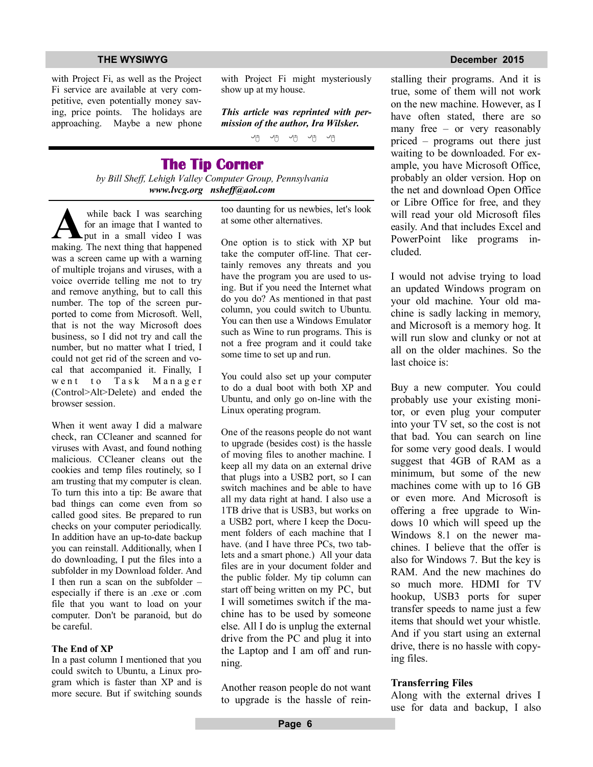with Project Fi, as well as the Project Fi service are available at very competitive, even potentially money saving, price points. The holidays are approaching. Maybe a new phone with Project Fi might mysteriously show up at my house.

*This article was reprinted with permission of the author, Ira Wilsker.*

他也也也也

## **The Tip Corner**

*by Bill Sheff, Lehigh Valley Computer Group, Pennsylvania www.lvcg.org nsheff@aol.com*

while back I was searching<br>for an image that I wanted to<br>making. The next thing that happened while back I was searching for an image that I wanted to put in a small video I was was a screen came up with a warning of multiple trojans and viruses, with a voice override telling me not to try and remove anything, but to call this number. The top of the screen purported to come from Microsoft. Well, that is not the way Microsoft does business, so I did not try and call the number, but no matter what I tried, I could not get rid of the screen and vocal that accompanied it. Finally, I went to Task Manager (Control>Alt>Delete) and ended the browser session.

When it went away I did a malware check, ran CCleaner and scanned for viruses with Avast, and found nothing malicious. CCleaner cleans out the cookies and temp files routinely, so I am trusting that my computer is clean. To turn this into a tip: Be aware that bad things can come even from so called good sites. Be prepared to run checks on your computer periodically. In addition have an up-to-date backup you can reinstall. Additionally, when I do downloading, I put the files into a subfolder in my Download folder. And I then run a scan on the subfolder – especially if there is an .exe or .com file that you want to load on your computer. Don't be paranoid, but do be careful.

### **The End of XP**

In a past column I mentioned that you could switch to Ubuntu, a Linux program which is faster than XP and is more secure. But if switching sounds too daunting for us newbies, let's look at some other alternatives.

One option is to stick with XP but take the computer off-line. That certainly removes any threats and you have the program you are used to using. But if you need the Internet what do you do? As mentioned in that past column, you could switch to Ubuntu. You can then use a Windows Emulator such as Wine to run programs. This is not a free program and it could take some time to set up and run.

You could also set up your computer to do a dual boot with both XP and Ubuntu, and only go on-line with the Linux operating program.

One of the reasons people do not want to upgrade (besides cost) is the hassle of moving files to another machine. I keep all my data on an external drive that plugs into a USB2 port, so I can switch machines and be able to have all my data right at hand. I also use a 1TB drive that is USB3, but works on a USB2 port, where I keep the Document folders of each machine that I have. (and I have three PCs, two tablets and a smart phone.) All your data files are in your document folder and the public folder. My tip column can start off being written on my PC, but I will sometimes switch if the machine has to be used by someone else. All I do is unplug the external drive from the PC and plug it into the Laptop and I am off and running.

Another reason people do not want to upgrade is the hassle of rein-

## **THE WYSIWYG DECEMBER 2015**

stalling their programs. And it is true, some of them will not work on the new machine. However, as I have often stated, there are so many free – or very reasonably priced – programs out there just waiting to be downloaded. For example, you have Microsoft Office, probably an older version. Hop on the net and download Open Office or Libre Office for free, and they will read your old Microsoft files easily. And that includes Excel and PowerPoint like programs included.

I would not advise trying to load an updated Windows program on your old machine. Your old machine is sadly lacking in memory, and Microsoft is a memory hog. It will run slow and clunky or not at all on the older machines. So the last choice is:

Buy a new computer. You could probably use your existing monitor, or even plug your computer into your TV set, so the cost is not that bad. You can search on line for some very good deals. I would suggest that 4GB of RAM as a minimum, but some of the new machines come with up to 16 GB or even more. And Microsoft is offering a free upgrade to Windows 10 which will speed up the Windows 8.1 on the newer machines. I believe that the offer is also for Windows 7. But the key is RAM. And the new machines do so much more. HDMI for TV hookup, USB3 ports for super transfer speeds to name just a few items that should wet your whistle. And if you start using an external drive, there is no hassle with copying files.

### **Transferring Files**

Along with the external drives I use for data and backup, I also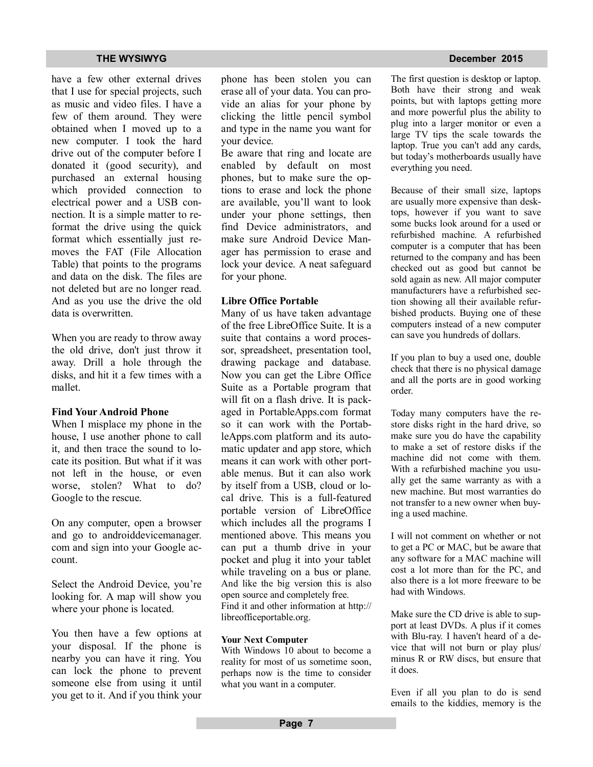have a few other external drives that I use for special projects, such as music and video files. I have a few of them around. They were obtained when I moved up to a new computer. I took the hard drive out of the computer before I donated it (good security), and purchased an external housing which provided connection to electrical power and a USB connection. It is a simple matter to reformat the drive using the quick format which essentially just removes the FAT (File Allocation Table) that points to the programs and data on the disk. The files are not deleted but are no longer read. And as you use the drive the old data is overwritten.

When you are ready to throw away the old drive, don't just throw it away. Drill a hole through the disks, and hit it a few times with a mallet.

## **Find Your Android Phone**

When I misplace my phone in the house, I use another phone to call it, and then trace the sound to locate its position. But what if it was not left in the house, or even worse, stolen? What to do? Google to the rescue.

On any computer, open a browser and go to androiddevicemanager. com and sign into your Google account.

Select the Android Device, you're looking for. A map will show you where your phone is located.

You then have a few options at your disposal. If the phone is nearby you can have it ring. You can lock the phone to prevent someone else from using it until you get to it. And if you think your phone has been stolen you can erase all of your data. You can provide an alias for your phone by clicking the little pencil symbol and type in the name you want for your device.

Be aware that ring and locate are enabled by default on most phones, but to make sure the options to erase and lock the phone are available, you'll want to look under your phone settings, then find Device administrators, and make sure Android Device Manager has permission to erase and lock your device. A neat safeguard for your phone.

## **Libre Office Portable**

Many of us have taken advantage of the free LibreOffice Suite. It is a suite that contains a word processor, spreadsheet, presentation tool, drawing package and database. Now you can get the Libre Office Suite as a Portable program that will fit on a flash drive. It is packaged in PortableApps.com format so it can work with the PortableApps.com platform and its automatic updater and app store, which means it can work with other portable menus. But it can also work by itself from a USB, cloud or local drive. This is a full-featured portable version of LibreOffice which includes all the programs I mentioned above. This means you can put a thumb drive in your pocket and plug it into your tablet while traveling on a bus or plane. And like the big version this is also open source and completely free. Find it and other information at http:// libreofficeportable.org.

## **Your Next Computer**

With Windows 10 about to become a reality for most of us sometime soon, perhaps now is the time to consider what you want in a computer.

## The first question is desktop or laptop. Both have their strong and weak points, but with laptops getting more and more powerful plus the ability to plug into a larger monitor or even a large TV tips the scale towards the laptop. True you can't add any cards, but today's motherboards usually have

everything you need.

Because of their small size, laptops are usually more expensive than desktops, however if you want to save some bucks look around for a used or refurbished machine. A refurbished computer is a computer that has been returned to the company and has been checked out as good but cannot be sold again as new. All major computer manufacturers have a refurbished section showing all their available refurbished products. Buying one of these computers instead of a new computer can save you hundreds of dollars.

If you plan to buy a used one, double check that there is no physical damage and all the ports are in good working order.

Today many computers have the restore disks right in the hard drive, so make sure you do have the capability to make a set of restore disks if the machine did not come with them. With a refurbished machine you usually get the same warranty as with a new machine. But most warranties do not transfer to a new owner when buying a used machine.

I will not comment on whether or not to get a PC or MAC, but be aware that any software for a MAC machine will cost a lot more than for the PC, and also there is a lot more freeware to be had with Windows.

Make sure the CD drive is able to support at least DVDs. A plus if it comes with Blu-ray. I haven't heard of a device that will not burn or play plus/ minus R or RW discs, but ensure that it does.

Even if all you plan to do is send emails to the kiddies, memory is the

## **THE WYSIWYG December 2015**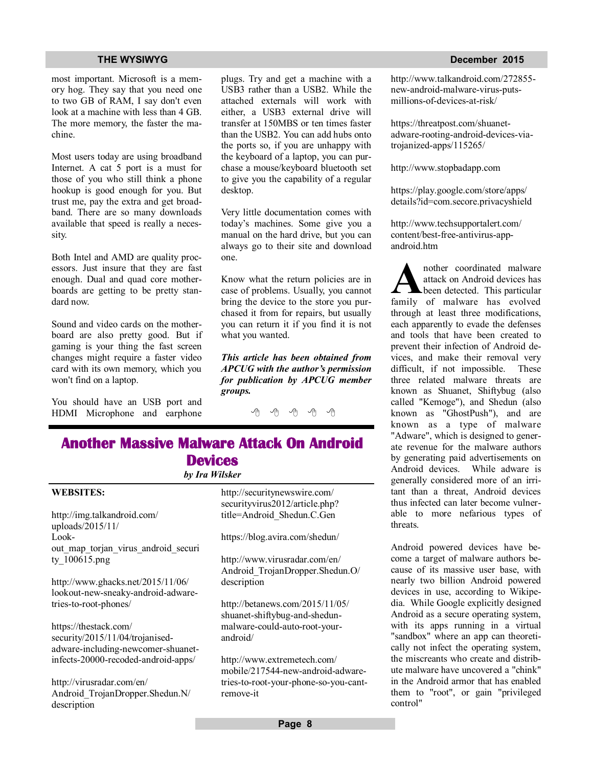most important. Microsoft is a memory hog. They say that you need one to two GB of RAM, I say don't even look at a machine with less than 4 GB. The more memory, the faster the machine.

Most users today are using broadband Internet. A cat 5 port is a must for those of you who still think a phone hookup is good enough for you. But trust me, pay the extra and get broadband. There are so many downloads available that speed is really a necessity.

Both Intel and AMD are quality processors. Just insure that they are fast enough. Dual and quad core motherboards are getting to be pretty standard now.

Sound and video cards on the motherboard are also pretty good. But if gaming is your thing the fast screen changes might require a faster video card with its own memory, which you won't find on a laptop.

You should have an USB port and HDMI Microphone and earphone plugs. Try and get a machine with a USB3 rather than a USB2. While the attached externals will work with either, a USB3 external drive will transfer at 150MBS or ten times faster than the USB2. You can add hubs onto the ports so, if you are unhappy with the keyboard of a laptop, you can purchase a mouse/keyboard bluetooth set to give you the capability of a regular desktop.

Very little documentation comes with today's machines. Some give you a manual on the hard drive, but you can always go to their site and download one.

Know what the return policies are in case of problems. Usually, you cannot bring the device to the store you purchased it from for repairs, but usually you can return it if you find it is not what you wanted.

*This article has been obtained from APCUG with the author's permission for publication by APCUG member groups.*

A A A A A

## **Another Massive Malware Attack On Android Devices**

## *by Ira Wilsker*

http://img.talkandroid.com/ uploads/2015/11/ Lookout map torjan virus android securi ty\_100615.png

**WEBSITES:**

http://www.ghacks.net/2015/11/06/ lookout-new-sneaky-android-adwaretries-to-root-phones/

https://thestack.com/ security/2015/11/04/trojanisedadware-including-newcomer-shuanetinfects-20000-recoded-android-apps/

http://virusradar.com/en/ Android\_TrojanDropper.Shedun.N/ description

http://securitynewswire.com/ securityvirus2012/article.php? title=Android\_Shedun.C.Gen

https://blog.avira.com/shedun/

http://www.virusradar.com/en/ Android\_TrojanDropper.Shedun.O/ description

http://betanews.com/2015/11/05/ shuanet-shiftybug-and-shedunmalware-could-auto-root-yourandroid/

http://www.extremetech.com/ mobile/217544-new-android-adwaretries-to-root-your-phone-so-you-cantremove-it

### **THE WYSIWYG** DECEMBER 2015

http://www.talkandroid.com/272855 new-android-malware-virus-putsmillions-of-devices-at-risk/

https://threatpost.com/shuanetadware-rooting-android-devices-viatrojanized-apps/115265/

http://www.stopbadapp.com

https://play.google.com/store/apps/ details?id=com.secore.privacyshield

http://www.techsupportalert.com/ content/best-free-antivirus-appandroid.htm

**A e h nother coordinated**malware **has coordinated coordinated**malware **has coordinated coordinated coordinated coordinated coordinated coordinated coordinated coordinated coordinate coord** nother coordinated malware attack on Android devices has been detected. This particular through at least three modifications, each apparently to evade the defenses and tools that have been created to prevent their infection of Android devices, and make their removal very difficult, if not impossible. These three related malware threats are known as Shuanet, Shiftybug (also called "Kemoge"), and Shedun (also known as "GhostPush"), and are known as a type of malware "Adware", which is designed to generate revenue for the malware authors by generating paid advertisements on Android devices. While adware is generally considered more of an irritant than a threat, Android devices thus infected can later become vulnerable to more nefarious types of threats.

Android powered devices have become a target of malware authors because of its massive user base, with nearly two billion Android powered devices in use, according to Wikipedia. While Google explicitly designed Android as a secure operating system, with its apps running in a virtual "sandbox" where an app can theoretically not infect the operating system, the miscreants who create and distribute malware have uncovered a "chink" in the Android armor that has enabled them to "root", or gain "privileged control"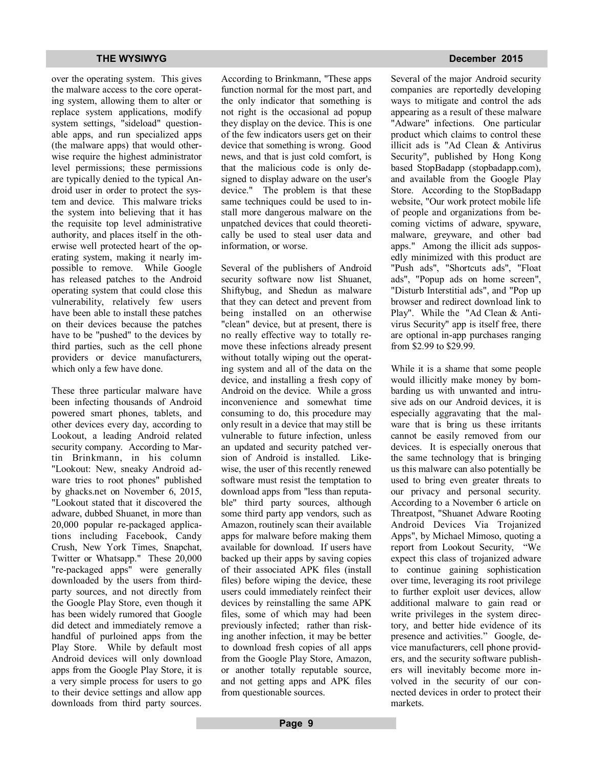over the operating system. This gives the malware access to the core operating system, allowing them to alter or replace system applications, modify system settings, "sideload" questionable apps, and run specialized apps (the malware apps) that would otherwise require the highest administrator level permissions; these permissions are typically denied to the typical Android user in order to protect the system and device. This malware tricks the system into believing that it has the requisite top level administrative authority, and places itself in the otherwise well protected heart of the operating system, making it nearly impossible to remove. While Google has released patches to the Android operating system that could close this vulnerability, relatively few users have been able to install these patches on their devices because the patches have to be "pushed" to the devices by third parties, such as the cell phone providers or device manufacturers, which only a few have done.

These three particular malware have been infecting thousands of Android powered smart phones, tablets, and other devices every day, according to Lookout, a leading Android related security company. According to Martin Brinkmann, in his column "Lookout: New, sneaky Android adware tries to root phones" published by ghacks.net on November 6, 2015, "Lookout stated that it discovered the adware, dubbed Shuanet, in more than 20,000 popular re-packaged applications including Facebook, Candy Crush, New York Times, Snapchat, Twitter or Whatsapp." These 20,000 "re-packaged apps" were generally downloaded by the users from thirdparty sources, and not directly from the Google Play Store, even though it has been widely rumored that Google did detect and immediately remove a handful of purloined apps from the Play Store. While by default most Android devices will only download apps from the Google Play Store, it is a very simple process for users to go to their device settings and allow app downloads from third party sources.

According to Brinkmann, "These apps function normal for the most part, and the only indicator that something is not right is the occasional ad popup they display on the device. This is one of the few indicators users get on their device that something is wrong. Good news, and that is just cold comfort, is that the malicious code is only designed to display adware on the user's device." The problem is that these same techniques could be used to install more dangerous malware on the unpatched devices that could theoretically be used to steal user data and information, or worse.

Several of the publishers of Android security software now list Shuanet. Shiftybug, and Shedun as malware that they can detect and prevent from being installed on an otherwise "clean" device, but at present, there is no really effective way to totally remove these infections already present without totally wiping out the operating system and all of the data on the device, and installing a fresh copy of Android on the device. While a gross inconvenience and somewhat time consuming to do, this procedure may only result in a device that may still be vulnerable to future infection, unless an updated and security patched version of Android is installed. Likewise, the user of this recently renewed software must resist the temptation to download apps from "less than reputable" third party sources, although some third party app vendors, such as Amazon, routinely scan their available apps for malware before making them available for download. If users have backed up their apps by saving copies of their associated APK files (install files) before wiping the device, these users could immediately reinfect their devices by reinstalling the same APK files, some of which may had been previously infected; rather than risking another infection, it may be better to download fresh copies of all apps from the Google Play Store, Amazon, or another totally reputable source, and not getting apps and APK files from questionable sources.

## **THE WYSIWYG December 2015**

Several of the major Android security companies are reportedly developing ways to mitigate and control the ads appearing as a result of these malware "Adware" infections. One particular product which claims to control these illicit ads is "Ad Clean & Antivirus Security", published by Hong Kong based StopBadapp (stopbadapp.com), and available from the Google Play Store. According to the StopBadapp website, "Our work protect mobile life of people and organizations from becoming victims of adware, spyware, malware, greyware, and other bad apps." Among the illicit ads supposedly minimized with this product are "Push ads", "Shortcuts ads", "Float ads", "Popup ads on home screen", "Disturb Interstitial ads", and "Pop up browser and redirect download link to Play". While the "Ad Clean & Antivirus Security" app is itself free, there are optional in-app purchases ranging from \$2.99 to \$29.99.

While it is a shame that some people would illicitly make money by bombarding us with unwanted and intrusive ads on our Android devices, it is especially aggravating that the malware that is bring us these irritants cannot be easily removed from our devices. It is especially onerous that the same technology that is bringing us this malware can also potentially be used to bring even greater threats to our privacy and personal security. According to a November 6 article on Threatpost, "Shuanet Adware Rooting Android Devices Via Trojanized Apps", by Michael Mimoso, quoting a report from Lookout Security, "We expect this class of trojanized adware to continue gaining sophistication over time, leveraging its root privilege to further exploit user devices, allow additional malware to gain read or write privileges in the system directory, and better hide evidence of its presence and activities." Google, device manufacturers, cell phone providers, and the security software publishers will inevitably become more involved in the security of our connected devices in order to protect their markets.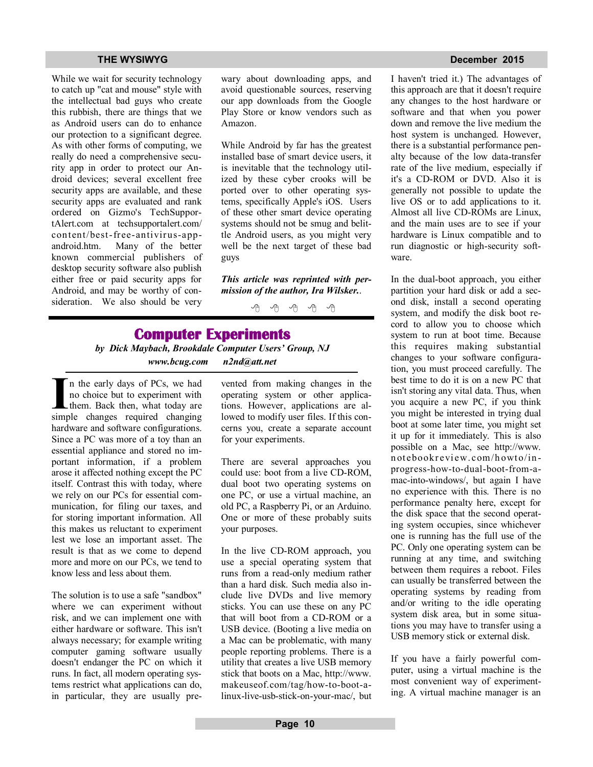While we wait for security technology to catch up "cat and mouse" style with the intellectual bad guys who create this rubbish, there are things that we as Android users can do to enhance our protection to a significant degree. As with other forms of computing, we really do need a comprehensive security app in order to protect our Android devices; several excellent free security apps are available, and these security apps are evaluated and rank ordered on Gizmo's TechSupportAlert.com at techsupportalert.com/ content/best-free-antivirus-appandroid.htm. Many of the better known commercial publishers of desktop security software also publish either free or paid security apps for Android, and may be worthy of consideration. We also should be very wary about downloading apps, and avoid questionable sources, reserving our app downloads from the Google Play Store or know vendors such as Amazon.

While Android by far has the greatest installed base of smart device users, it is inevitable that the technology utilized by these cyber crooks will be ported over to other operating systems, specifically Apple's iOS. Users of these other smart device operating systems should not be smug and belittle Android users, as you might very well be the next target of these bad guys

*This article was reprinted with permission of the author, Ira Wilsker.*.

有 伯 伯 伯

# **Computer Experiments**

*by Dick Maybach, Brookdale Computer Users' Group, NJ www.bcug.com n2nd@att.net*

In the early days of PCs, we had<br>
no choice but to experiment with<br>
them. Back then, what today are<br>
simple changes required changing n the early days of PCs, we had no choice but to experiment with Lthem. Back then, what today are hardware and software configurations. Since a PC was more of a toy than an essential appliance and stored no important information, if a problem arose it affected nothing except the PC itself. Contrast this with today, where we rely on our PCs for essential communication, for filing our taxes, and for storing important information. All this makes us reluctant to experiment lest we lose an important asset. The result is that as we come to depend more and more on our PCs, we tend to know less and less about them.

The solution is to use a safe "sandbox" where we can experiment without risk, and we can implement one with either hardware or software. This isn't always necessary; for example writing computer gaming software usually doesn't endanger the PC on which it runs. In fact, all modern operating systems restrict what applications can do, in particular, they are usually prevented from making changes in the operating system or other applications. However, applications are allowed to modify user files. If this concerns you, create a separate account for your experiments.

There are several approaches you could use: boot from a live CD-ROM, dual boot two operating systems on one PC, or use a virtual machine, an old PC, a Raspberry Pi, or an Arduino. One or more of these probably suits your purposes.

In the live CD-ROM approach, you use a special operating system that runs from a read-only medium rather than a hard disk. Such media also include live DVDs and live memory sticks. You can use these on any PC that will boot from a CD-ROM or a USB device. (Booting a live media on a Mac can be problematic, with many people reporting problems. There is a utility that creates a live USB memory stick that boots on a Mac, http://www. makeuseof.com/tag/how-to-boot-alinux-live-usb-stick-on-your-mac/, but

### **THE WYSIWYG December 2015**

I haven't tried it.) The advantages of this approach are that it doesn't require any changes to the host hardware or software and that when you power down and remove the live medium the host system is unchanged. However, there is a substantial performance penalty because of the low data-transfer rate of the live medium, especially if it's a CD-ROM or DVD. Also it is generally not possible to update the live OS or to add applications to it. Almost all live CD-ROMs are Linux, and the main uses are to see if your hardware is Linux compatible and to run diagnostic or high-security software.

In the dual-boot approach, you either partition your hard disk or add a second disk, install a second operating system, and modify the disk boot record to allow you to choose which system to run at boot time. Because this requires making substantial changes to your software configuration, you must proceed carefully. The best time to do it is on a new PC that isn't storing any vital data. Thus, when you acquire a new PC, if you think you might be interested in trying dual boot at some later time, you might set it up for it immediately. This is also possible on a Mac, see http://www. n otebookreview.com/h owto/inprogress-how-to-dual-boot-from-amac-into-windows/, but again I have no experience with this. There is no performance penalty here, except for the disk space that the second operating system occupies, since whichever one is running has the full use of the PC. Only one operating system can be running at any time, and switching between them requires a reboot. Files can usually be transferred between the operating systems by reading from and/or writing to the idle operating system disk area, but in some situations you may have to transfer using a USB memory stick or external disk.

If you have a fairly powerful computer, using a virtual machine is the most convenient way of experimenting. A virtual machine manager is an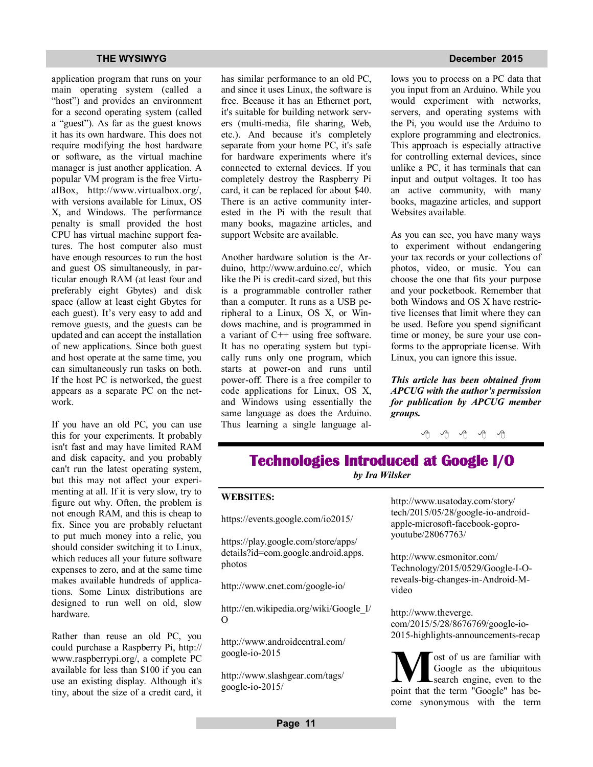application program that runs on your main operating system (called a "host") and provides an environment for a second operating system (called a "guest"). As far as the guest knows it has its own hardware. This does not require modifying the host hardware or software, as the virtual machine manager is just another application. A popular VM program is the free VirtualBox, http://www.virtualbox.org/, with versions available for Linux, OS X, and Windows. The performance penalty is small provided the host CPU has virtual machine support features. The host computer also must have enough resources to run the host and guest OS simultaneously, in particular enough RAM (at least four and preferably eight Gbytes) and disk space (allow at least eight Gbytes for each guest). It's very easy to add and remove guests, and the guests can be updated and can accept the installation of new applications. Since both guest and host operate at the same time, you can simultaneously run tasks on both. If the host PC is networked, the guest appears as a separate PC on the network.

If you have an old PC, you can use this for your experiments. It probably isn't fast and may have limited RAM and disk capacity, and you probably can't run the latest operating system, but this may not affect your experimenting at all. If it is very slow, try to figure out why. Often, the problem is not enough RAM, and this is cheap to fix. Since you are probably reluctant to put much money into a relic, you should consider switching it to Linux, which reduces all your future software expenses to zero, and at the same time makes available hundreds of applications. Some Linux distributions are designed to run well on old, slow hardware.

Rather than reuse an old PC, you could purchase a Raspberry Pi, http:// www.raspberrypi.org/, a complete PC available for less than \$100 if you can use an existing display. Although it's tiny, about the size of a credit card, it has similar performance to an old PC, and since it uses Linux, the software is free. Because it has an Ethernet port, it's suitable for building network servers (multi-media, file sharing, Web, etc.). And because it's completely separate from your home PC, it's safe for hardware experiments where it's connected to external devices. If you completely destroy the Raspberry Pi card, it can be replaced for about \$40. There is an active community interested in the Pi with the result that many books, magazine articles, and support Website are available.

Another hardware solution is the Arduino, http://www.arduino.cc/, which like the Pi is credit-card sized, but this is a programmable controller rather than a computer. It runs as a USB peripheral to a Linux, OS X, or Windows machine, and is programmed in a variant of C++ using free software. It has no operating system but typically runs only one program, which starts at power-on and runs until power-off. There is a free compiler to code applications for Linux, OS X, and Windows using essentially the same language as does the Arduino. Thus learning a single language al-

### **THE WYSIWYG December 2015**

lows you to process on a PC data that you input from an Arduino. While you would experiment with networks, servers, and operating systems with the Pi, you would use the Arduino to explore programming and electronics. This approach is especially attractive for controlling external devices, since unlike a PC, it has terminals that can input and output voltages. It too has an active community, with many books, magazine articles, and support Websites available.

As you can see, you have many ways to experiment without endangering your tax records or your collections of photos, video, or music. You can choose the one that fits your purpose and your pocketbook. Remember that both Windows and OS X have restrictive licenses that limit where they can be used. Before you spend significant time or money, be sure your use conforms to the appropriate license. With Linux, you can ignore this issue.

*This article has been obtained from APCUG with the author's permission for publication by APCUG member groups.*

∽∽ी

# **Technologies Introduced at Google I/O**

*by Ira Wilsker*

## **WEBSITES:**

https://events.google.com/io2015/

https://play.google.com/store/apps/ details?id=com.google.android.apps. photos

http://www.cnet.com/google-io/

http://en.wikipedia.org/wiki/Google\_I/ O

http://www.androidcentral.com/ google-io-2015

http://www.slashgear.com/tags/ google-io-2015/

http://www.usatoday.com/story/ tech/2015/05/28/google-io-androidapple-microsoft-facebook-goproyoutube/28067763/

http://www.csmonitor.com/ Technology/2015/0529/Google-I-Oreveals-big-changes-in-Android-Mvideo

http://www.theverge. com/2015/5/28/8676769/google-io-2015-highlights-announcements-recap

**M o**st of us are familiar with<br> **Coogle** as the ubiquitous<br>
point that the term "Google" has beost of us are familiar with Google as the ubiquitous search engine, even to the come synonymous with the term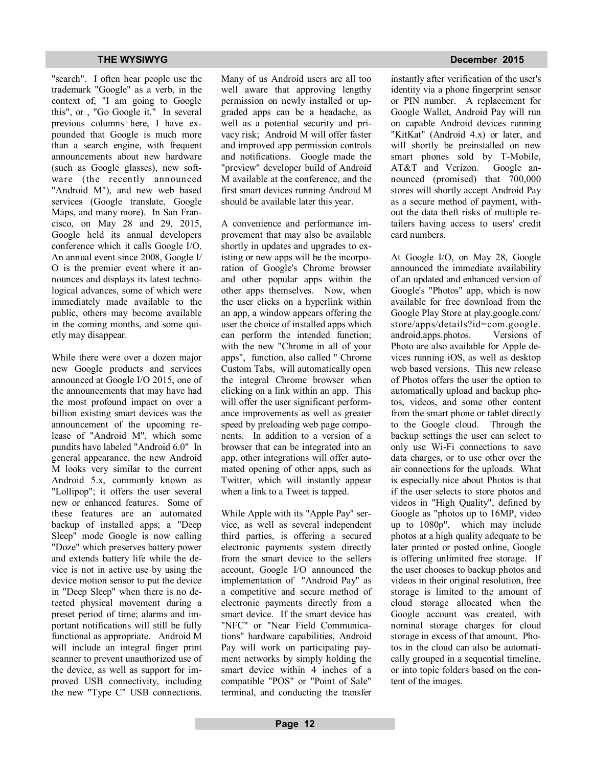### **THE WYSIWYG** December 2015

"search". I often hear people use the trademark "Google" as a verb, in the context of, "I am going to Google this", or , "Go Google it." In several previous columns here, I have expounded that Google is much more than a search engine, with frequent announcements about new hardware (such as Google glasses), new software (the recently announced "Android M"), and new web based services (Google translate, Google Maps, and many more). In San Francisco, on May 28 and 29, 2015, Google held its annual developers conference which it calls Google I/O. An annual event since 2008, Google I/ O is the premier event where it announces and displays its latest technological advances, some of which were immediately made available to the public, others may become available in the coming months, and some quietly may disappear.

While there were over a dozen major new Google products and services announced at Google I/O 2015, one of the announcements that may have had the most profound impact on over a billion existing smart devices was the announcement of the upcoming release of "Android M", which some pundits have labeled "Android 6.0" In general appearance, the new Android M looks very similar to the current Android 5.x, commonly known as "Lollipop"; it offers the user several new or enhanced features. Some of these features are an automated backup of installed apps; a "Deep Sleep" mode Google is now calling "Doze" which preserves battery power and extends battery life while the device is not in active use by using the device motion sensor to put the device in "Deep Sleep" when there is no detected physical movement during a preset period of time; alarms and important notifications will still be fully functional as appropriate. Android M will include an integral finger print scanner to prevent unauthorized use of the device, as well as support for improved USB connectivity, including the new "Type C" USB connections.

Many of us Android users are all too well aware that approving lengthy permission on newly installed or upgraded apps can be a headache, as well as a potential security and privacy risk; Android M will offer faster and improved app permission controls and notifications. Google made the "preview" developer build of Android M available at the conference, and the first smart devices running Android M should be available later this year.

A convenience and performance improvement that may also be available shortly in updates and upgrades to existing or new apps will be the incorporation of Google's Chrome browser and other popular apps within the other apps themselves. Now, when the user clicks on a hyperlink within an app, a window appears offering the user the choice of installed apps which can perform the intended function; with the new "Chrome in all of your apps", function, also called " Chrome Custom Tabs, will automatically open the integral Chrome browser when clicking on a link within an app. This will offer the user significant performance improvements as well as greater speed by preloading web page components. In addition to a version of a browser that can be integrated into an app, other integrations will offer automated opening of other apps, such as Twitter, which will instantly appear when a link to a Tweet is tapped.

While Apple with its "Apple Pay" service, as well as several independent third parties, is offering a secured electronic payments system directly from the smart device to the sellers account, Google I/O announced the implementation of "Android Pay" as a competitive and secure method of electronic payments directly from a smart device. If the smart device has "NFC" or "Near Field Communications" hardware capabilities, Android Pay will work on participating payment networks by simply holding the smart device within 4 inches of a compatible "POS" or "Point of Sale" terminal, and conducting the transfer instantly after verification of the user's identity via a phone fingerprint sensor or PIN number. A replacement for Google Wallet, Android Pay will run on capable Android devices running "KitKat" (Android 4.x) or later, and will shortly be preinstalled on new smart phones sold by T-Mobile, AT&T and Verizon. Google announced (promised) that 700,000 stores will shortly accept Android Pay as a secure method of payment, without the data theft risks of multiple retailers having access to users' credit card numbers.

At Google I/O, on May 28, Google announced the immediate availability of an updated and enhanced version of Google's "Photos" app, which is now available for free download from the Google Play Store at play.google.com/ store/apps/details?id=com.google. android.apps.photos. Versions of Photo are also available for Apple devices running iOS, as well as desktop web based versions. This new release of Photos offers the user the option to automatically upload and backup photos, videos, and some other content from the smart phone or tablet directly to the Google cloud. Through the backup settings the user can select to only use Wi-Fi connections to save data charges, or to use other over the air connections for the uploads. What is especially nice about Photos is that if the user selects to store photos and videos in "High Quality", defined by Google as "photos up to 16MP, video up to 1080p", which may include photos at a high quality adequate to be later printed or posted online, Google is offering unlimited free storage. If the user chooses to backup photos and videos in their original resolution, free storage is limited to the amount of cloud storage allocated when the Google account was created, with nominal storage charges for cloud storage in excess of that amount. Photos in the cloud can also be automatically grouped in a sequential timeline, or into topic folders based on the content of the images.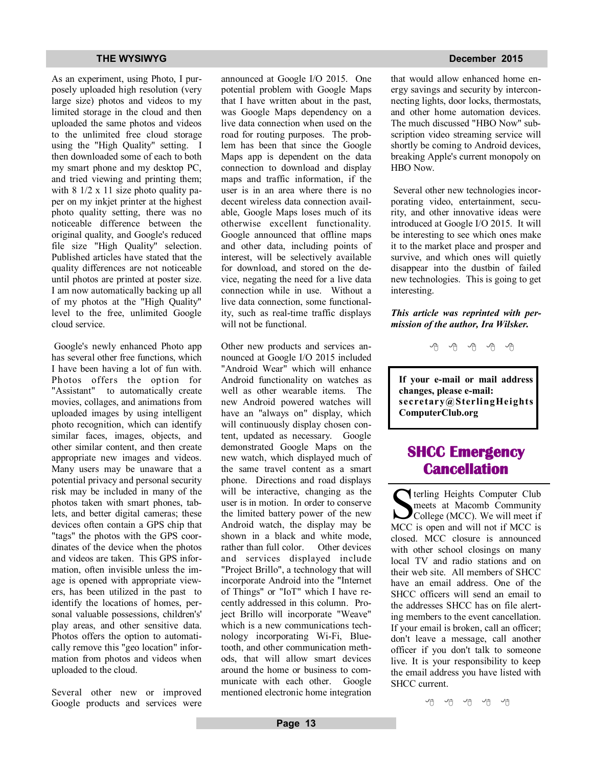As an experiment, using Photo, I purposely uploaded high resolution (very large size) photos and videos to my limited storage in the cloud and then uploaded the same photos and videos to the unlimited free cloud storage using the "High Quality" setting. I then downloaded some of each to both my smart phone and my desktop PC, and tried viewing and printing them; with 8 1/2 x 11 size photo quality paper on my inkjet printer at the highest photo quality setting, there was no noticeable difference between the original quality, and Google's reduced file size "High Quality" selection. Published articles have stated that the quality differences are not noticeable until photos are printed at poster size. I am now automatically backing up all of my photos at the "High Quality" level to the free, unlimited Google cloud service.

 Google's newly enhanced Photo app has several other free functions, which I have been having a lot of fun with. Photos offers the option for "Assistant" to automatically create movies, collages, and animations from uploaded images by using intelligent photo recognition, which can identify similar faces, images, objects, and other similar content, and then create appropriate new images and videos. Many users may be unaware that a potential privacy and personal security risk may be included in many of the photos taken with smart phones, tablets, and better digital cameras; these devices often contain a GPS chip that "tags" the photos with the GPS coordinates of the device when the photos and videos are taken. This GPS information, often invisible unless the image is opened with appropriate viewers, has been utilized in the past to identify the locations of homes, personal valuable possessions, children's' play areas, and other sensitive data. Photos offers the option to automatically remove this "geo location" information from photos and videos when uploaded to the cloud.

Several other new or improved Google products and services were announced at Google I/O 2015. One potential problem with Google Maps that I have written about in the past, was Google Maps dependency on a live data connection when used on the road for routing purposes. The problem has been that since the Google Maps app is dependent on the data connection to download and display maps and traffic information, if the user is in an area where there is no decent wireless data connection available, Google Maps loses much of its otherwise excellent functionality. Google announced that offline maps and other data, including points of interest, will be selectively available for download, and stored on the device, negating the need for a live data connection while in use. Without a live data connection, some functionality, such as real-time traffic displays will not be functional.

Other new products and services announced at Google I/O 2015 included "Android Wear" which will enhance Android functionality on watches as well as other wearable items. The new Android powered watches will have an "always on" display, which will continuously display chosen content, updated as necessary. Google demonstrated Google Maps on the new watch, which displayed much of the same travel content as a smart phone. Directions and road displays will be interactive, changing as the user is in motion. In order to conserve the limited battery power of the new Android watch, the display may be shown in a black and white mode, rather than full color. Other devices and services displayed include "Project Brillo", a technology that will incorporate Android into the "Internet of Things" or "IoT" which I have recently addressed in this column. Project Brillo will incorporate "Weave" which is a new communications technology incorporating Wi-Fi, Bluetooth, and other communication methods, that will allow smart devices around the home or business to communicate with each other. Google mentioned electronic home integration

## **THE WYSIWYG December 2015**

that would allow enhanced home energy savings and security by interconnecting lights, door locks, thermostats, and other home automation devices. The much discussed "HBO Now" subscription video streaming service will shortly be coming to Android devices, breaking Apple's current monopoly on HBO Now.

 Several other new technologies incorporating video, entertainment, security, and other innovative ideas were introduced at Google I/O 2015. It will be interesting to see which ones make it to the market place and prosper and survive, and which ones will quietly disappear into the dustbin of failed new technologies. This is going to get interesting.

## *This article was reprinted with permission of the author, Ira Wilsker.*

A A A A A

**If your e-mail or mail address changes, please e-mail: secretary@SterlingHeights ComputerClub.org**

# **SHCC Emergency Cancellation**

 Serling Heights Computer Club<br>
meets at Macomb Community<br>
College (MCC). We will meet if<br>
MCC is open and will not if MCC is terling Heights Computer Club meets at Macomb Community College (MCC). We will meet if closed. MCC closure is announced with other school closings on many local TV and radio stations and on their web site. All members of SHCC have an email address. One of the SHCC officers will send an email to the addresses SHCC has on file alerting members to the event cancellation. If your email is broken, call an officer; don't leave a message, call another officer if you don't talk to someone live. It is your responsibility to keep the email address you have listed with SHCC current.

(円 伯 伯 伯 伯